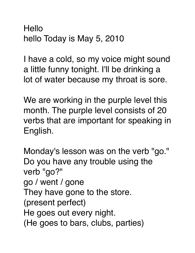**Hello** hello Today is May 5, 2010

I have a cold, so my voice might sound a little funny tonight. I'll be drinking a lot of water because my throat is sore.

We are working in the purple level this month. The purple level consists of 20 verbs that are important for speaking in English.

Monday's lesson was on the verb "go." Do you have any trouble using the verb "go?" go / went / gone They have gone to the store. (present perfect) He goes out every night. (He goes to bars, clubs, parties)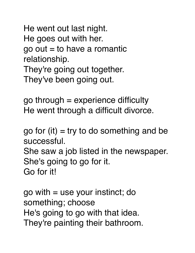He went out last night. He goes out with her.  $go out = to have a romantic$ relationship. They're going out together. They've been going out.

go through = experience difficulty He went through a difficult divorce.

go for (it)  $=$  try to do something and be successful. She saw a job listed in the newspaper. She's going to go for it. Go for it!

go with = use your instinct; do something; choose He's going to go with that idea. They're painting their bathroom.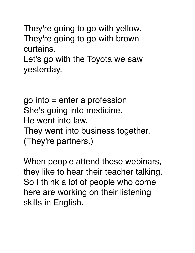They're going to go with yellow. They're going to go with brown curtains.

Let's go with the Toyota we saw yesterday.

go into = enter a profession She's going into medicine. He went into law. They went into business together. (They're partners.)

When people attend these webinars, they like to hear their teacher talking. So I think a lot of people who come here are working on their listening skills in English.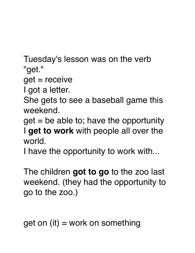Tuesday's lesson was on the verb "get."

get = receive

I got a letter.

She gets to see a baseball game this weekend.

 $get = be$  able to; have the opportunity I **get to work** with people all over the world.

I have the opportunity to work with...

The children **got to go** to the zoo last weekend. (they had the opportunity to go to the zoo.)

get on (it) = work on something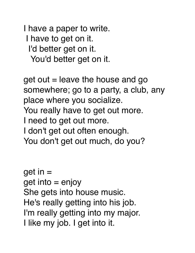I have a paper to write. I have to get on it. I'd better get on it. You'd better get on it.

 $get$  out  $=$  leave the house and go somewhere; go to a party, a club, any place where you socialize. You really have to get out more. I need to get out more. I don't get out often enough. You don't get out much, do you?

get in =  $get$  into  $=$  enjoy She gets into house music. He's really getting into his job. I'm really getting into my major. I like my job. I get into it.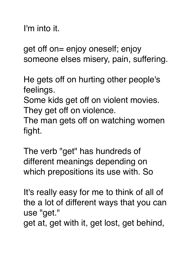I'm into it.

get off on= enjoy oneself; enjoy someone elses misery, pain, suffering.

He gets off on hurting other people's feelings.

Some kids get off on violent movies. They get off on violence.

The man gets off on watching women fight.

The verb "get" has hundreds of different meanings depending on which prepositions its use with. So

It's really easy for me to think of all of the a lot of different ways that you can use "get."

get at, get with it, get lost, get behind,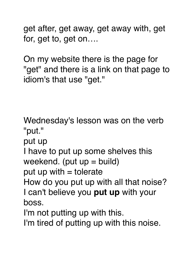get after, get away, get away with, get for, get to, get on….

On my website there is the page for "get" and there is a link on that page to idiom's that use "get."

Wednesday's lesson was on the verb "put."

put up

I have to put up some shelves this weekend. (put  $up = build$ )

put up with  $=$  tolerate

How do you put up with all that noise? I can't believe you **put up** with your boss.

I'm not putting up with this.

I'm tired of putting up with this noise.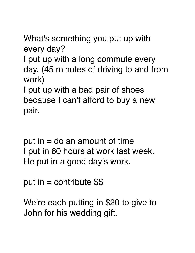What's something you put up with every day?

I put up with a long commute every day. (45 minutes of driving to and from work)

I put up with a bad pair of shoes because I can't afford to buy a new pair.

put in  $=$  do an amount of time I put in 60 hours at work last week. He put in a good day's work.

put in  $=$  contribute  $$$ 

We're each putting in \$20 to give to John for his wedding gift.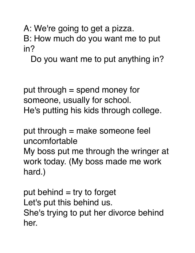A: We're going to get a pizza.

B: How much do you want me to put in?

Do you want me to put anything in?

put through = spend money for someone, usually for school. He's putting his kids through college.

put through = make someone feel uncomfortable My boss put me through the wringer at work today. (My boss made me work hard.)

put behind  $=$  try to forget Let's put this behind us. She's trying to put her divorce behind her.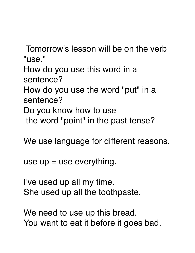Tomorrow's lesson will be on the verb "use."

How do you use this word in a sentence?

How do you use the word "put" in a sentence?

Do you know how to use

the word "point" in the past tense?

We use language for different reasons.

use  $up =$  use everything.

I've used up all my time. She used up all the toothpaste.

We need to use up this bread. You want to eat it before it goes bad.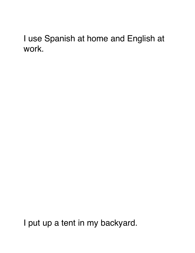## I use Spanish at home and English at work.

I put up a tent in my backyard.